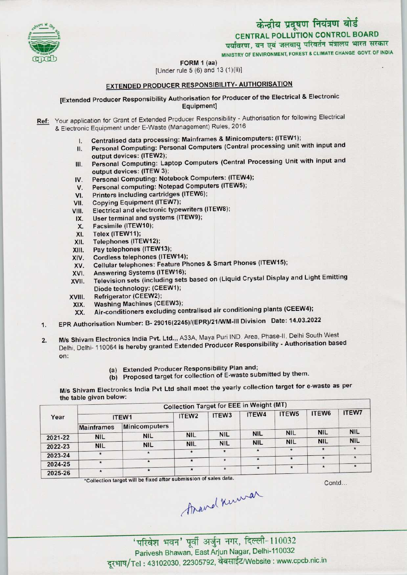

MINISTRY OF ENVIRONMENT, FOREST& CLIMATE CHANGE GOVT, OF INDIA

FORM 1 (aa)



# [Under rule 5 (6) and 13 (1)(ii)]

## EXTENDED PRODUCER RESPONSIBILITY- AUTHORISATION

[Extended Producer Responsibility Authorisation for Producer of the Electrical & Electronic Equipment]

Ref: Your application for Grant of Extended Producer Responsibility - Authorisation for following Electrical & Electronic Equipment under E-Waste (Management) Rules, 2016

- I. Centralised data processing: Mainframes & Minicomputers: (ITEW1);
- II. Personal Computing: Personal Computers (Central processing unit with input and output devices: (ITEW2);
- III. Personal Computing: Laptop Computers (Central Processing Unit with input and output devices: (ITEW 3); III. Personal Computing: Laptop Computers (Central Production Computers: (ITEW4);<br>IV. Personal Computing: Notebook Computers: (ITEW4);
- output devices: (ITEW 3);<br>V. Personal Computing: Notebook Computers: (ITEW<br>V. Personal computing: Notepad Computers (ITEW5);
- IV. Personal Computing: Notebook Computers: (ITEW4<br>V. Personal computing: Notepad Computers (ITEW5);<br>VI. Printers including cartridges (ITEW6);<br>VII. Copying Equipment (ITEW7);
- 
- 
- VI. Printers including cartridges (ITEW6);<br>VII. Copying Equipment (ITEW7);<br>VIII. Electrical and electronic typewriters (I VIII. Electrical and electronic typewriters (ITEW8);<br>IX. User terminal and systems (ITEW9);
- User terminal and systems (ITEW9);
- X. Facsimile (ITEW10);
- 
- XI. Telex (ITEW11);<br>XII. Telephones (ITE XII. Telephones (ITEW12);<br>XIII. Pay telephones (ITEW
- XIII. Pay telephones (ITEW13);<br>XIV. Cordless telephones (ITE)
- 
- XIV. Cordless telephones (ITEW14);<br>XV. Cellular telephones: Feature Ph XIII. Pay telephones (ITEW13);<br>XIV. Cordless telephones (ITEW14);<br>XV. Cellular telephones: Feature Phones & Smart Phones (ITEW15); XIV. Cordless telephones (ITEW14)<br>XV. Cellular telephones: Feature P<br>XVI. Answering Systems (ITEW16);
- 
- XVI. Answering Systems (ITEW16);<br>XVII. Television sets (including sets based on (Liquid Crystal Display and Light Emitting Diode technology: (CEEW1);
- XVIII. Refrigerator (CEEW2);
- XIX. Washing Machines (CEEW3);
- XX. Air-conditioners excluding centralised air conditioning plants(CEEW4);
- 1.EPR Authorisation Number: B- 29016(2245)/(EPR)/21/WM-lll Division Date: 14.03.2022
- 2. M/s Shivam Electronics India Pvt. Ltd.,, A33A, Maya Puri IND. Area, Phase-II, Delhi South West Delhi, Delhi-110064 is hereby granted Extended Producer Responsibility - Authorisation based on;
	- (a) Extended Producer Responsibility Plan and;
	- (b) Proposed target for collection of E-waste submitted by them.

M/s Shivam Electronics India Pvt Ltd shall meet the yearly collection target for e-waste as per the table given below:

| IN THE R. P. LEWIS CO., LANSING MICH. |                   |               |                   | <b>Collection Target for EEE in Weight (MT)</b>            |            |                      |               |              |
|---------------------------------------|-------------------|---------------|-------------------|------------------------------------------------------------|------------|----------------------|---------------|--------------|
| Year                                  | ITEW1             |               | ITEW <sub>2</sub> | ITEW <sub>3</sub>                                          | ITEW4      | ITEW <sub>5</sub>    | ITEW6         | <b>ITEW7</b> |
|                                       | <b>Mainframes</b> | Minicomputers |                   |                                                            |            |                      |               |              |
| 2021-22                               | <b>NIL</b>        | <b>NIL</b>    | <b>NIL</b>        | <b>NIL</b>                                                 | <b>NIL</b> | <b>NIL</b>           | <b>NIL</b>    | <b>NIL</b>   |
|                                       | <b>NIL</b>        | <b>NIL</b>    | <b>NIL</b>        | <b>NIL</b>                                                 | <b>NIL</b> | <b>NIL</b>           | <b>NIL</b>    | <b>NIL</b>   |
| 2022-23                               |                   | $\star$       | $\pmb{\ast}$      | $\star$                                                    |            | $\star$              | $\pmb{\star}$ |              |
| 2023-24                               |                   |               |                   |                                                            | $\star$    | $\ddot{\phantom{1}}$ | $\star$       | $\star$      |
| 2024-25                               | $\star$           |               |                   |                                                            |            |                      |               |              |
| 2025-26                               | $\star$           |               | $\star$           | $\star$<br>the contract of the contract of the contract of | $\star$    | $\star$              |               |              |

\*Collection target will be fixed after submission of sales data.

Contd...

thand knowar

' परिवेश भवन' पूर्वी अर्जुन नगर, दिल्ली-110032 Parivesh Bhawan, East Arjun Nagar, Delhi-110032 दूरभाष/Tel: 43102030, 22305792, वेबसाईट/Website : www.cpcb.nic.in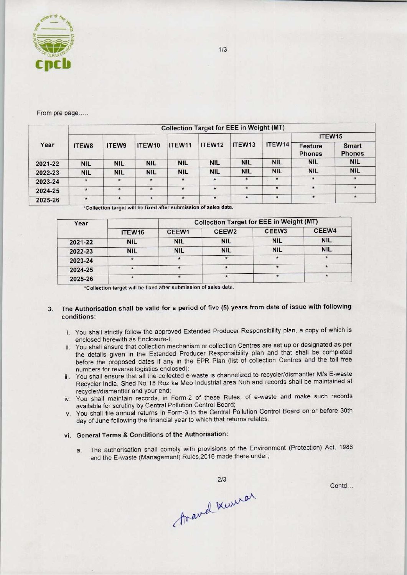

From pre page.....

|         | <b>Collection Target for EEE in Weight (MT)</b> |            |            |            |            |                    |            |                          |                               |  |
|---------|-------------------------------------------------|------------|------------|------------|------------|--------------------|------------|--------------------------|-------------------------------|--|
|         |                                                 |            |            |            |            |                    | ITEW14     | ITEW15                   |                               |  |
| Year    | <b>ITEW8</b>                                    | ITEW9      | ITEW10     | ITEW11     | ITEW12     | ITEW <sub>13</sub> |            | Feature<br><b>Phones</b> | <b>Smart</b><br><b>Phones</b> |  |
| 2021-22 | <b>NIL</b>                                      | <b>NIL</b> | <b>NIL</b> | <b>NIL</b> | <b>NIL</b> | <b>NIL</b>         | <b>NIL</b> | <b>NIL</b>               | <b>NIL</b>                    |  |
| 2022-23 | <b>NIL</b>                                      | <b>NIL</b> | <b>NIL</b> | <b>NIL</b> | <b>NIL</b> | <b>NIL</b>         | <b>NIL</b> | <b>NIL</b>               | <b>NIL</b>                    |  |
| 2023-24 | $\star$                                         | $\star$    | $\star$    | $\star$    | $\star$    | $\star$            | $\star$    | $\star$                  | $\star$                       |  |
| 2024-25 | $\star$                                         | $\star$    | $\star$    | $\star$    | $\star$    | $\star$            | $\star$    | $\star$                  | $\star$                       |  |
| 2025-26 | $\star$                                         | $\ast$     | $\star$    | $\star$    | $\star$    | $\star$            | $\star$    | $\star$                  | $\star$                       |  |

\*Collection target will be fixed after submission of sales data

| Year    |            | <b>Collection Target for EEE in Weight (MT)</b> |                   |                   |            |  |  |  |
|---------|------------|-------------------------------------------------|-------------------|-------------------|------------|--|--|--|
|         | ITEW16     | CEEW1                                           | CEEW <sub>2</sub> | CEEW <sub>3</sub> | CEEW4      |  |  |  |
| 2021-22 | <b>NIL</b> | <b>NIL</b>                                      | <b>NIL</b>        | <b>NIL</b>        | <b>NIL</b> |  |  |  |
| 2022-23 | <b>NIL</b> | <b>NIL</b>                                      | <b>NIL</b>        | <b>NIL</b>        | <b>NIL</b> |  |  |  |
| 2023-24 |            |                                                 |                   |                   |            |  |  |  |
| 2024-25 |            |                                                 |                   |                   | $\star$    |  |  |  |
| 2025-26 |            |                                                 |                   |                   |            |  |  |  |

\*Collection target will be fixed after submission of sales data.

### 3. The Authorisation shall be valid for a period of five (5) years from date of issue with following conditions:

- i. You shall strictly follow the approved Extended Producer Responsibility plan, a copy of which is enclosed herewith as Enclosure-I;
- ii. You shall ensure that collection mechanism or collection Centres are set up or designated as per the details given in the Extended Producer Responsibility plan and that shall be completed before the proposed dates if any in the EPR Plan (list of collection Centres and the toll free numbers for reverse logistics enclosed);
- iii. You shall ensure that all the collected e-waste is channelized to recycler/dismantler M/s E-waste Recycler India, Shed No 15 Roz ka Meo Industrial area Nuh and records shall be maintained at recyder/dismantler and your end;
- iv. You shall maintain records, in Form-2 of these Rules, of e-waste and make such records available for scrutiny by Central Pollution Control Board;
- v. You shall file annual returns in Form-3 to the Central Pollution Control Board on or before 30th day of June following the financial year to which that returns relates.

## vi. General Terms & Conditions of the Authorisation:

a. The authorisation shall comply with provisions of the Environment (Protection) Act, 1986 and the E-waste (Management) Rules,2016 made there under;

 $2/3$ 

Aravel kurrar

Contd...